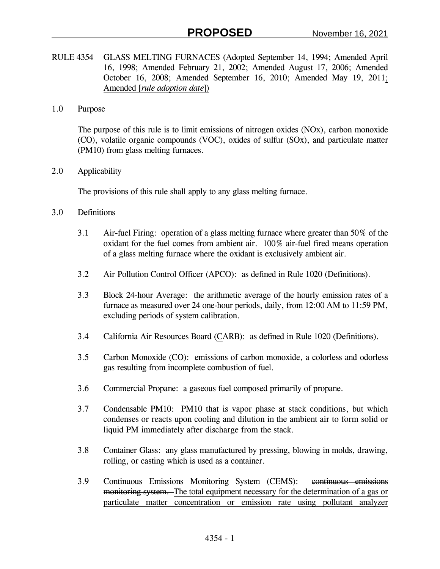- RULE 4354 GLASS MELTING FURNACES (Adopted September 14, 1994; Amended April 16, 1998; Amended February 21, 2002; Amended August 17, 2006; Amended October 16, 2008; Amended September 16, 2010; Amended May 19, 2011; Amended [*rule adoption date*])
- 1.0 Purpose

The purpose of this rule is to limit emissions of nitrogen oxides (NOx), carbon monoxide (CO), volatile organic compounds (VOC), oxides of sulfur (SOx), and particulate matter (PM10) from glass melting furnaces.

2.0 Applicability

The provisions of this rule shall apply to any glass melting furnace.

- 3.0 Definitions
	- 3.1 Air-fuel Firing: operation of a glass melting furnace where greater than 50% of the oxidant for the fuel comes from ambient air. 100% air-fuel fired means operation of a glass melting furnace where the oxidant is exclusively ambient air.
	- 3.2 Air Pollution Control Officer (APCO): as defined in Rule 1020 (Definitions).
	- 3.3 Block 24-hour Average: the arithmetic average of the hourly emission rates of a furnace as measured over 24 one-hour periods, daily, from 12:00 AM to 11:59 PM, excluding periods of system calibration.
	- 3.4 California Air Resources Board (CARB): as defined in Rule 1020 (Definitions).
	- 3.5 Carbon Monoxide (CO): emissions of carbon monoxide, a colorless and odorless gas resulting from incomplete combustion of fuel.
	- 3.6 Commercial Propane: a gaseous fuel composed primarily of propane.
	- 3.7 Condensable PM10: PM10 that is vapor phase at stack conditions, but which condenses or reacts upon cooling and dilution in the ambient air to form solid or liquid PM immediately after discharge from the stack.
	- 3.8 Container Glass: any glass manufactured by pressing, blowing in molds, drawing, rolling, or casting which is used as a container.
	- 3.9 Continuous Emissions Monitoring System (CEMS): continuous emissions monitoring system. The total equipment necessary for the determination of a gas or particulate matter concentration or emission rate using pollutant analyzer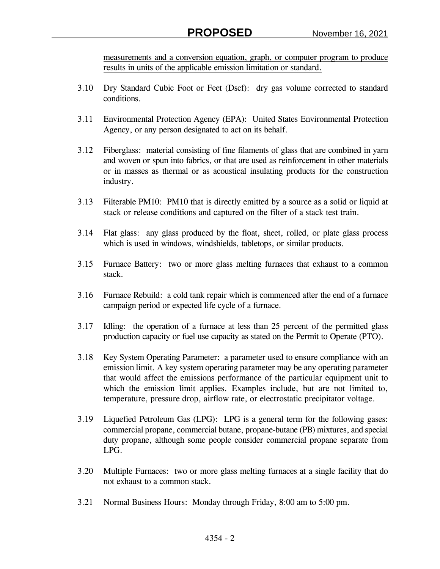measurements and a conversion equation, graph, or computer program to produce results in units of the applicable emission limitation or standard.

- 3.10 Dry Standard Cubic Foot or Feet (Dscf): dry gas volume corrected to standard conditions.
- 3.11 Environmental Protection Agency (EPA): United States Environmental Protection Agency, or any person designated to act on its behalf.
- 3.12 Fiberglass: material consisting of fine filaments of glass that are combined in yarn and woven or spun into fabrics, or that are used as reinforcement in other materials or in masses as thermal or as acoustical insulating products for the construction industry.
- 3.13 Filterable PM10: PM10 that is directly emitted by a source as a solid or liquid at stack or release conditions and captured on the filter of a stack test train.
- 3.14 Flat glass: any glass produced by the float, sheet, rolled, or plate glass process which is used in windows, windshields, tabletops, or similar products.
- 3.15 Furnace Battery: two or more glass melting furnaces that exhaust to a common stack.
- 3.16 Furnace Rebuild: a cold tank repair which is commenced after the end of a furnace campaign period or expected life cycle of a furnace.
- 3.17 Idling: the operation of a furnace at less than 25 percent of the permitted glass production capacity or fuel use capacity as stated on the Permit to Operate (PTO).
- 3.18 Key System Operating Parameter: a parameter used to ensure compliance with an emission limit. A key system operating parameter may be any operating parameter that would affect the emissions performance of the particular equipment unit to which the emission limit applies. Examples include, but are not limited to, temperature, pressure drop, airflow rate, or electrostatic precipitator voltage.
- 3.19 Liquefied Petroleum Gas (LPG): LPG is a general term for the following gases: commercial propane, commercial butane, propane-butane (PB) mixtures, and special duty propane, although some people consider commercial propane separate from LPG.
- 3.20 Multiple Furnaces: two or more glass melting furnaces at a single facility that do not exhaust to a common stack.
- 3.21 Normal Business Hours: Monday through Friday, 8:00 am to 5:00 pm.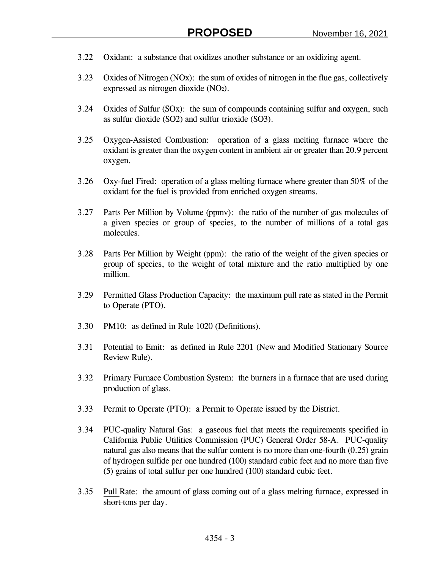- 3.22 Oxidant: a substance that oxidizes another substance or an oxidizing agent.
- 3.23 Oxides of Nitrogen (NOx): the sum of oxides of nitrogen in the flue gas, collectively expressed as nitrogen dioxide (NO2).
- 3.24 Oxides of Sulfur (SOx): the sum of compounds containing sulfur and oxygen, such as sulfur dioxide (SO2) and sulfur trioxide (SO3).
- 3.25 Oxygen-Assisted Combustion: operation of a glass melting furnace where the oxidant is greater than the oxygen content in ambient air or greater than 20.9 percent oxygen.
- 3.26 Oxy-fuel Fired: operation of a glass melting furnace where greater than 50% of the oxidant for the fuel is provided from enriched oxygen streams.
- 3.27 Parts Per Million by Volume (ppmv): the ratio of the number of gas molecules of a given species or group of species, to the number of millions of a total gas molecules.
- 3.28 Parts Per Million by Weight (ppm): the ratio of the weight of the given species or group of species, to the weight of total mixture and the ratio multiplied by one million.
- 3.29 Permitted Glass Production Capacity: the maximum pull rate as stated in the Permit to Operate (PTO).
- 3.30 PM10: as defined in Rule 1020 (Definitions).
- 3.31 Potential to Emit: as defined in Rule 2201 (New and Modified Stationary Source Review Rule).
- 3.32 Primary Furnace Combustion System: the burners in a furnace that are used during production of glass.
- 3.33 Permit to Operate (PTO): a Permit to Operate issued by the District.
- 3.34 PUC-quality Natural Gas: a gaseous fuel that meets the requirements specified in California Public Utilities Commission (PUC) General Order 58-A. PUC-quality natural gas also means that the sulfur content is no more than one-fourth (0.25) grain of hydrogen sulfide per one hundred (100) standard cubic feet and no more than five (5) grains of total sulfur per one hundred (100) standard cubic feet.
- 3.35 Pull Rate: the amount of glass coming out of a glass melting furnace, expressed in short-tons per day.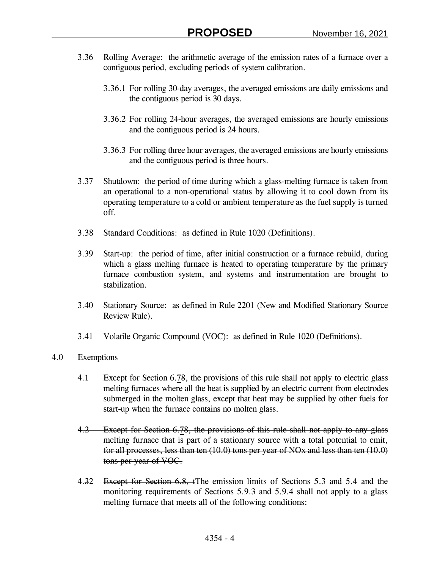- 3.36 Rolling Average: the arithmetic average of the emission rates of a furnace over a contiguous period, excluding periods of system calibration.
	- 3.36.1 For rolling 30-day averages, the averaged emissions are daily emissions and the contiguous period is 30 days.
	- 3.36.2 For rolling 24-hour averages, the averaged emissions are hourly emissions and the contiguous period is 24 hours.
	- 3.36.3 For rolling three hour averages, the averaged emissions are hourly emissions and the contiguous period is three hours.
- 3.37 Shutdown: the period of time during which a glass-melting furnace is taken from an operational to a non-operational status by allowing it to cool down from its operating temperature to a cold or ambient temperature as the fuel supply is turned off.
- 3.38 Standard Conditions: as defined in Rule 1020 (Definitions).
- 3.39 Start-up: the period of time, after initial construction or a furnace rebuild, during which a glass melting furnace is heated to operating temperature by the primary furnace combustion system, and systems and instrumentation are brought to stabilization.
- 3.40 Stationary Source: as defined in Rule 2201 (New and Modified Stationary Source Review Rule).
- 3.41 Volatile Organic Compound (VOC): as defined in Rule 1020 (Definitions).
- 4.0 Exemptions
	- 4.1 Except for Section 6.78, the provisions of this rule shall not apply to electric glass melting furnaces where all the heat is supplied by an electric current from electrodes submerged in the molten glass, except that heat may be supplied by other fuels for start-up when the furnace contains no molten glass.
	- 4.2 Except for Section 6.78, the provisions of this rule shall not apply to any glass melting furnace that is part of a stationary source with a total potential to emit, for all processes, less than ten (10.0) tons per year of NOx and less than ten (10.0) tons per year of VOC.
	- 4.32 Except for Section 6.8, tThe emission limits of Sections 5.3 and 5.4 and the monitoring requirements of Sections 5.9.3 and 5.9.4 shall not apply to a glass melting furnace that meets all of the following conditions: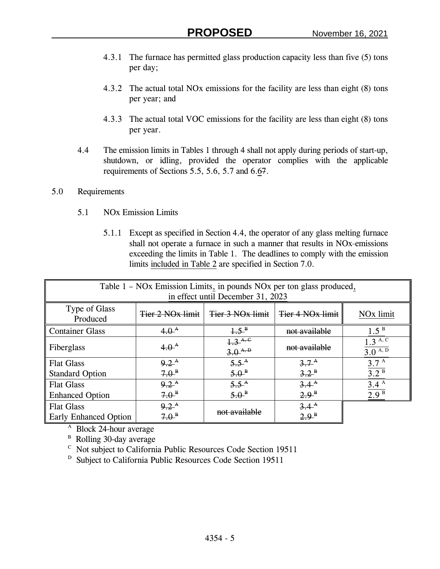- 4.3.1 The furnace has permitted glass production capacity less than five (5) tons per day;
- 4.3.2 The actual total NOx emissions for the facility are less than eight (8) tons per year; and
- 4.3.3 The actual total VOC emissions for the facility are less than eight (8) tons per year.
- 4.4 The emission limits in Tables 1 through 4 shall not apply during periods of start-up, shutdown, or idling, provided the operator complies with the applicable requirements of Sections 5.5, 5.6, 5.7 and 6.67.

## 5.0 Requirements

- 5.1 NOx Emission Limits
	- 5.1.1 Except as specified in Section 4.4, the operator of any glass melting furnace shall not operate a furnace in such a manner that results in NO<sub>x</sub>-emissions exceeding the limits in Table 1. The deadlines to comply with the emission limits included in Table 2 are specified in Section 7.0.

| Table 1 – NOx Emission Limits, in pounds NOx per ton glass produced, |                                      |                                   |                               |                                     |
|----------------------------------------------------------------------|--------------------------------------|-----------------------------------|-------------------------------|-------------------------------------|
|                                                                      |                                      | in effect until December 31, 2023 |                               |                                     |
| Type of Glass<br>Produced                                            | Tier 2 NO <sub>x</sub> limit         | Tier 3 NO <sub>x</sub> limit      | Tier 4 NO <sub>x</sub> limit  | NO <sub>x</sub> limit               |
| <b>Container Glass</b>                                               | $4.0^{\text{A}}$                     | $1.5^{\mathrm{B}}$                | not available                 | 1.5 <sup>B</sup>                    |
| Fiberglass                                                           | $4.0^{A}$                            | $\frac{1.3^{A,C}}{3.0^{A,D}}$     | not available                 | 1.3 <sup>A, C</sup><br>$3.0^{A, D}$ |
| <b>Flat Glass</b>                                                    | $9.2^{\text{A}}$                     | $5.5^{A}$                         | $3.7^{\rm A}$                 | 3.7 <sup>A</sup>                    |
| <b>Standard Option</b>                                               | $7.0^{\circ}$                        | $5.0^{\circ}$                     | $3.2^{\circ}$                 | $3.2^{B}$                           |
| <b>Flat Glass</b>                                                    | $9.2^{\text{A}}$                     | $5.5^{A}$                         | $3.4^{A}$                     | 3.4 <sup>A</sup>                    |
| <b>Enhanced Option</b>                                               | $7.0^{\circ}$                        | $5.0^{\circ}$                     | $2.9^{\circ}$                 | 2.9 <sup>B</sup>                    |
| <b>Flat Glass</b><br><b>Early Enhanced Option</b>                    | $9.2^{\text{A}}$<br>7.0 <sup>B</sup> | not available                     | $3.4^{A}$<br>$2.9^{\text{B}}$ |                                     |

<sup>A</sup> Block 24-hour average

<sup>B</sup> Rolling 30-day average

<sup>C</sup> Not subject to California Public Resources Code Section 19511

<sup>D</sup> Subject to California Public Resources Code Section 19511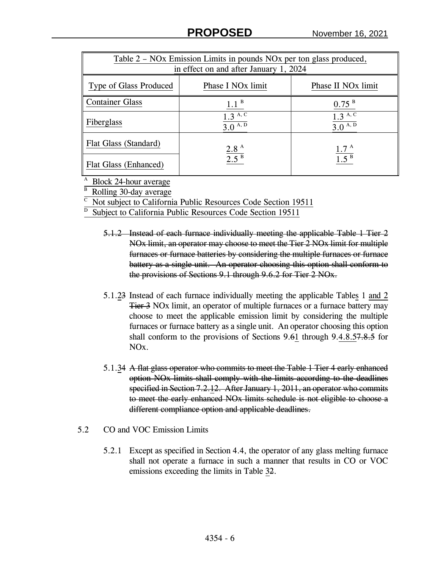| Table 2 – NOx Emission Limits in pounds NOx per ton glass produced,<br>in effect on and after January 1, 2024 |                                        |                                |  |
|---------------------------------------------------------------------------------------------------------------|----------------------------------------|--------------------------------|--|
| Type of Glass Produced                                                                                        | Phase I NO <sub>x</sub> limit          | Phase II NO <sub>x</sub> limit |  |
| <b>Container Glass</b>                                                                                        | 1.1 <sup>B</sup>                       | $0.75$ <sup>B</sup>            |  |
| Fiberglass                                                                                                    | $1.3^{A,\overline{C}}$<br>$3.0^{A, D}$ | $1.3^{A, C}$<br>$3.0^{A, D}$   |  |
| Flat Glass (Standard)                                                                                         | 2.8 <sup>A</sup>                       | 1.7 <sup>A</sup>               |  |
| Flat Glass (Enhanced)                                                                                         | 2.5 <sup>B</sup>                       | 1.5 <sup>B</sup>               |  |

<sup>A</sup> Block 24-hour average

<sup>B</sup> Rolling 30-day average

C Not subject to California Public Resources Code Section 19511

D Subject to California Public Resources Code Section 19511

- 5.1.2 Instead of each furnace individually meeting the applicable Table 1 Tier 2 NOx limit, an operator may choose to meet the Tier 2 NOx limit for multiple furnaces or furnace batteries by considering the multiple furnaces or furnace battery as a single unit. An operator choosing this option shall conform to the provisions of Sections 9.1 through 9.6.2 for Tier 2 NOx.
- 5.1.23 Instead of each furnace individually meeting the applicable Tables 1 and 2 Tier 3 NOx limit, an operator of multiple furnaces or a furnace battery may choose to meet the applicable emission limit by considering the multiple furnaces or furnace battery as a single unit. An operator choosing this option shall conform to the provisions of Sections 9.61 through 9.4.8.57.8.5 for NOx.
- 5.1.34 A flat glass operator who commits to meet the Table 1 Tier 4 early enhanced option NOx limits shall comply with the limits according to the deadlines specified in Section 7.2.12. After January 1, 2011, an operator who commits to meet the early enhanced NOx limits schedule is not eligible to choose a different compliance option and applicable deadlines.
- 5.2 CO and VOC Emission Limits
	- 5.2.1 Except as specified in Section 4.4, the operator of any glass melting furnace shall not operate a furnace in such a manner that results in CO or VOC emissions exceeding the limits in Table 32.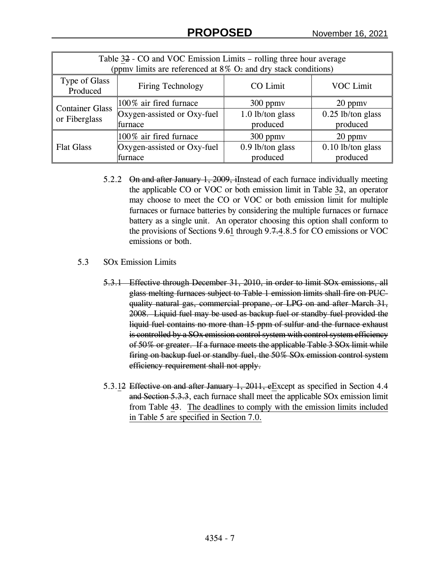| Table 32 - CO and VOC Emission Limits – rolling three hour average            |                                            |                              |                                 |  |
|-------------------------------------------------------------------------------|--------------------------------------------|------------------------------|---------------------------------|--|
| (ppmv limits are referenced at $8\%$ O <sub>2</sub> and dry stack conditions) |                                            |                              |                                 |  |
| Type of Glass<br>Produced                                                     | CO Limit<br>VOC Limit<br>Firing Technology |                              |                                 |  |
| <b>Container Glass</b><br>or Fiberglass                                       | 100% air fired furnace                     | $300$ ppm $v$                | 20 ppmy                         |  |
|                                                                               | Oxygen-assisted or Oxy-fuel<br>furnace     | 1.0 lb/ton glass<br>produced | $0.25$ lb/ton glass<br>produced |  |
|                                                                               | 100% air fired furnace                     | $300$ ppm $v$                | 20 ppmy                         |  |
| <b>Flat Glass</b>                                                             | Oxygen-assisted or Oxy-fuel<br>furnace     | 0.9 lb/ton glass<br>produced | $0.10$ lb/ton glass<br>produced |  |

- 5.2.2 On and after January 1, 2009, illustead of each furnace individually meeting the applicable CO or VOC or both emission limit in Table 32, an operator may choose to meet the CO or VOC or both emission limit for multiple furnaces or furnace batteries by considering the multiple furnaces or furnace battery as a single unit. An operator choosing this option shall conform to the provisions of Sections 9.61 through 9.7.4.8.5 for CO emissions or VOC emissions or both.
- 5.3 SOx Emission Limits
	- 5.3.1 Effective through December 31, 2010, in order to limit SOx emissions, all glass melting furnaces subject to Table 1 emission limits shall fire on PUCquality natural gas, commercial propane, or LPG on and after March 31, 2008. Liquid fuel may be used as backup fuel or standby fuel provided the liquid fuel contains no more than 15 ppm of sulfur and the furnace exhaust is controlled by a SOx emission control system with control system efficiency of 50% or greater. If a furnace meets the applicable Table 3 SOx limit while firing on backup fuel or standby fuel, the 50% SOx emission control system efficiency requirement shall not apply.
	- 5.3.12 Effective on and after January 1, 2011, eExcept as specified in Section 4.4 and Section 5.3.3, each furnace shall meet the applicable SOx emission limit from Table 43. The deadlines to comply with the emission limits included in Table 5 are specified in Section 7.0.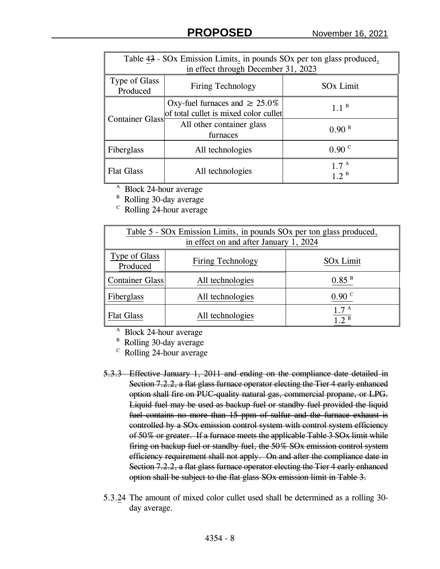| Table 43 - SOx Emission Limits, in pounds SOx per ton glass produced, |                                                                              |                                      |
|-----------------------------------------------------------------------|------------------------------------------------------------------------------|--------------------------------------|
|                                                                       | in effect through December 31, 2023                                          |                                      |
| Type of Glass<br>Produced                                             | Firing Technology                                                            | <b>SO<sub>x</sub></b> Limit          |
| <b>Container Glass</b>                                                | Oxy-fuel furnaces and $\geq 25.0\%$<br>of total cullet is mixed color cullet | 1.1 <sup>B</sup>                     |
|                                                                       | All other container glass<br>furnaces                                        | 0.90 <sup>B</sup>                    |
| Fiberglass                                                            | All technologies                                                             | 0.90 <sup>C</sup>                    |
| <b>Flat Glass</b>                                                     | All technologies                                                             | 1.7 <sup>A</sup><br>$1.2^{\text{B}}$ |

<sup>A</sup> Block 24-hour average

<sup>B</sup> Rolling 30-day average

<sup>c</sup> Rolling 24-hour average

| Table 5 - SOx Emission Limits, in pounds SOx per ton glass produced,          |                                        |                                       |  |  |
|-------------------------------------------------------------------------------|----------------------------------------|---------------------------------------|--|--|
|                                                                               | in effect on and after January 1, 2024 |                                       |  |  |
| Type of Glass<br><b>SO<sub>x</sub></b> Limit<br>Firing Technology<br>Produced |                                        |                                       |  |  |
| <b>Container Glass</b>                                                        | All technologies                       | $0.85$ <sup>B</sup>                   |  |  |
| Fiberglass                                                                    | All technologies                       | 0.90 °                                |  |  |
| <b>Flat Glass</b>                                                             | All technologies                       | $1.7^{\text{ A}}$<br>1.2 <sup>B</sup> |  |  |

<sup>A</sup> Block 24-hour average

<sup>B</sup> Rolling 30-day average

C Rolling 24-hour average

- 5.3.3 Effective January 1, 2011 and ending on the compliance date detailed in Section 7.2.2, a flat glass furnace operator electing the Tier 4 early enhanced option shall fire on PUC-quality natural gas, commercial propane, or LPG. Liquid fuel may be used as backup fuel or standby fuel provided the liquid fuel contains no more than 15 ppm of sulfur and the furnace exhaust is controlled by a SOx emission control system with control system efficiency of 50% or greater. If a furnace meets the applicable Table 3 SOx limit while firing on backup fuel or standby fuel, the 50% SOx emission control system efficiency requirement shall not apply. On and after the compliance date in Section 7.2.2, a flat glass furnace operator electing the Tier 4 early enhanced option shall be subject to the flat glass SOx emission limit in Table 3.
- 5.3.24 The amount of mixed color cullet used shall be determined as a rolling 30 day average.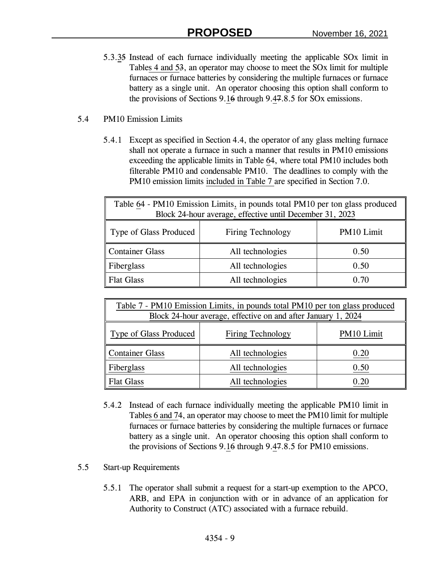- 5.3.35 Instead of each furnace individually meeting the applicable SOx limit in Tables 4 and 53, an operator may choose to meet the SOx limit for multiple furnaces or furnace batteries by considering the multiple furnaces or furnace battery as a single unit. An operator choosing this option shall conform to the provisions of Sections 9.16 through 9.47.8.5 for SOx emissions.
- 5.4 PM10 Emission Limits
	- 5.4.1 Except as specified in Section 4.4, the operator of any glass melting furnace shall not operate a furnace in such a manner that results in PM10 emissions exceeding the applicable limits in Table 64, where total PM10 includes both filterable PM10 and condensable PM10. The deadlines to comply with the PM10 emission limits included in Table 7 are specified in Section 7.0.

| Table 64 - PM10 Emission Limits, in pounds total PM10 per ton glass produced<br>Block 24-hour average, effective until December 31, 2023 |                  |      |  |
|------------------------------------------------------------------------------------------------------------------------------------------|------------------|------|--|
| PM10 Limit<br>Type of Glass Produced<br>Firing Technology                                                                                |                  |      |  |
| <b>Container Glass</b>                                                                                                                   | All technologies | 0.50 |  |
| Fiberglass                                                                                                                               | All technologies | 0.50 |  |
| <b>Flat Glass</b>                                                                                                                        | All technologies | 0.70 |  |

| Table 7 - PM10 Emission Limits, in pounds total PM10 per ton glass produced<br>Block 24-hour average, effective on and after January 1, 2024 |                  |          |  |
|----------------------------------------------------------------------------------------------------------------------------------------------|------------------|----------|--|
| PM10 Limit<br>Type of Glass Produced<br>Firing Technology                                                                                    |                  |          |  |
| Container Glass                                                                                                                              | All technologies | 0.20     |  |
| Fiberglass                                                                                                                                   | All technologies | 0.50     |  |
| <b>Flat Glass</b>                                                                                                                            | All technologies | $0.20\,$ |  |

- 5.4.2 Instead of each furnace individually meeting the applicable PM10 limit in Tables 6 and 74, an operator may choose to meet the PM10 limit for multiple furnaces or furnace batteries by considering the multiple furnaces or furnace battery as a single unit. An operator choosing this option shall conform to the provisions of Sections 9.16 through 9.47.8.5 for PM10 emissions.
- 5.5 Start-up Requirements
	- 5.5.1 The operator shall submit a request for a start-up exemption to the APCO, ARB, and EPA in conjunction with or in advance of an application for Authority to Construct (ATC) associated with a furnace rebuild.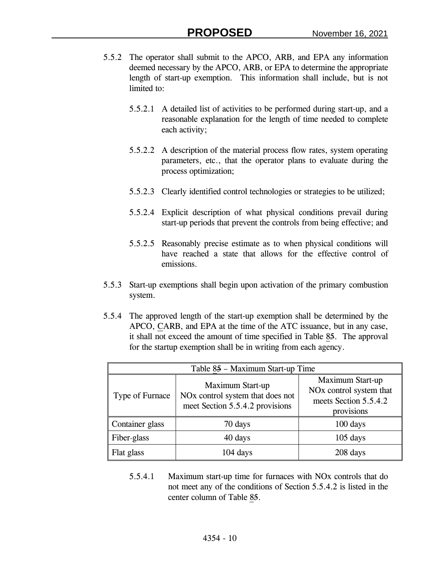- 5.5.2 The operator shall submit to the APCO, ARB, and EPA any information deemed necessary by the APCO, ARB, or EPA to determine the appropriate length of start-up exemption. This information shall include, but is not limited to:
	- 5.5.2.1 A detailed list of activities to be performed during start-up, and a reasonable explanation for the length of time needed to complete each activity;
	- 5.5.2.2 A description of the material process flow rates, system operating parameters, etc., that the operator plans to evaluate during the process optimization;
	- 5.5.2.3 Clearly identified control technologies or strategies to be utilized;
	- 5.5.2.4 Explicit description of what physical conditions prevail during start-up periods that prevent the controls from being effective; and
	- 5.5.2.5 Reasonably precise estimate as to when physical conditions will have reached a state that allows for the effective control of emissions.
- 5.5.3 Start-up exemptions shall begin upon activation of the primary combustion system.
- 5.5.4 The approved length of the start-up exemption shall be determined by the APCO, CARB, and EPA at the time of the ATC issuance, but in any case, it shall not exceed the amount of time specified in Table 85. The approval for the startup exemption shall be in writing from each agency.

| Table 85 - Maximum Start-up Time |                                                                                                     |                                                                                                |  |
|----------------------------------|-----------------------------------------------------------------------------------------------------|------------------------------------------------------------------------------------------------|--|
| Type of Furnace                  | Maximum Start-up<br>NO <sub>x</sub> control system that does not<br>meet Section 5.5.4.2 provisions | Maximum Start-up<br>NO <sub>x</sub> control system that<br>meets Section 5.5.4.2<br>provisions |  |
| Container glass                  | 70 days                                                                                             | 100 days                                                                                       |  |
| Fiber-glass                      | 40 days                                                                                             | $105$ days                                                                                     |  |
| Flat glass                       | $104$ days                                                                                          | 208 days                                                                                       |  |

5.5.4.1 Maximum start-up time for furnaces with NOx controls that do not meet any of the conditions of Section 5.5.4.2 is listed in the center column of Table 85.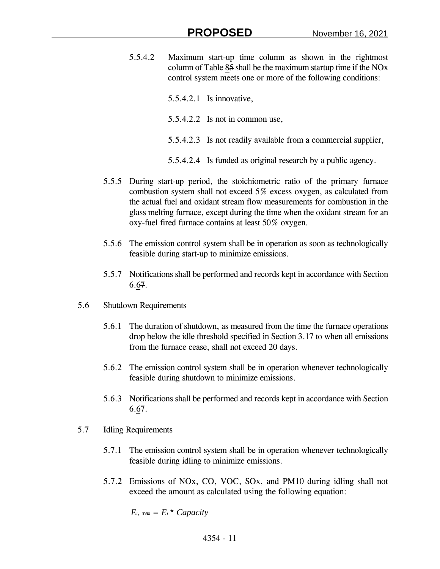- 5.5.4.2 Maximum start-up time column as shown in the rightmost column of Table 85 shall be the maximum startup time if the NOx control system meets one or more of the following conditions:
	- 5.5.4.2.1 Is innovative,
	- 5.5.4.2.2 Is not in common use,
	- 5.5.4.2.3 Is not readily available from a commercial supplier,
	- 5.5.4.2.4 Is funded as original research by a public agency.
- 5.5.5 During start-up period, the stoichiometric ratio of the primary furnace combustion system shall not exceed 5% excess oxygen, as calculated from the actual fuel and oxidant stream flow measurements for combustion in the glass melting furnace, except during the time when the oxidant stream for an oxy-fuel fired furnace contains at least 50% oxygen.
- 5.5.6 The emission control system shall be in operation as soon as technologically feasible during start-up to minimize emissions.
- 5.5.7 Notifications shall be performed and records kept in accordance with Section 6.67.
- 5.6 Shutdown Requirements
	- 5.6.1 The duration of shutdown, as measured from the time the furnace operations drop below the idle threshold specified in Section 3.17 to when all emissions from the furnace cease, shall not exceed 20 days.
	- 5.6.2 The emission control system shall be in operation whenever technologically feasible during shutdown to minimize emissions.
	- 5.6.3 Notifications shall be performed and records kept in accordance with Section 6.67.
- 5.7 Idling Requirements
	- 5.7.1 The emission control system shall be in operation whenever technologically feasible during idling to minimize emissions.
	- 5.7.2 Emissions of NOx, CO, VOC, SOx, and PM10 during idling shall not exceed the amount as calculated using the following equation:

$$
E_i, \max = E_i^* \; Capacity
$$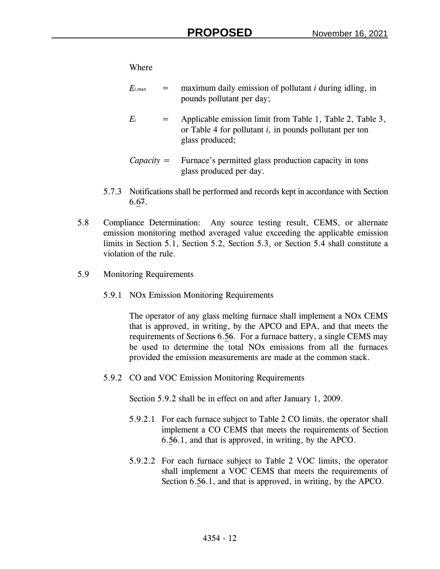Where

- $E_{i, \text{max}}$  = maximum daily emission of pollutant *i* during idling, in pounds pollutant per day;
- $E_i$  = Applicable emission limit from Table 1, Table 2, Table 3, or Table 4 for pollutant *i,* in pounds pollutant per ton glass produced;
- *Capacity* = Furnace's permitted glass production capacity in tons glass produced per day.
- 5.7.3 Notifications shall be performed and records kept in accordance with Section 6.67.
- 5.8 Compliance Determination: Any source testing result, CEMS, or alternate emission monitoring method averaged value exceeding the applicable emission limits in Section 5.1, Section 5.2, Section 5.3, or Section 5.4 shall constitute a violation of the rule.
- 5.9 Monitoring Requirements
	- 5.9.1 NOx Emission Monitoring Requirements

The operator of any glass melting furnace shall implement a NOx CEMS that is approved, in writing, by the APCO and EPA, and that meets the requirements of Sections 6.56. For a furnace battery, a single CEMS may be used to determine the total NOx emissions from all the furnaces provided the emission measurements are made at the common stack.

5.9.2 CO and VOC Emission Monitoring Requirements

Section 5.9.2 shall be in effect on and after January 1, 2009.

- 5.9.2.1 For each furnace subject to Table 2 CO limits, the operator shall implement a CO CEMS that meets the requirements of Section 6.56.1, and that is approved, in writing, by the APCO.
- 5.9.2.2 For each furnace subject to Table 2 VOC limits, the operator shall implement a VOC CEMS that meets the requirements of Section 6.56.1, and that is approved, in writing, by the APCO.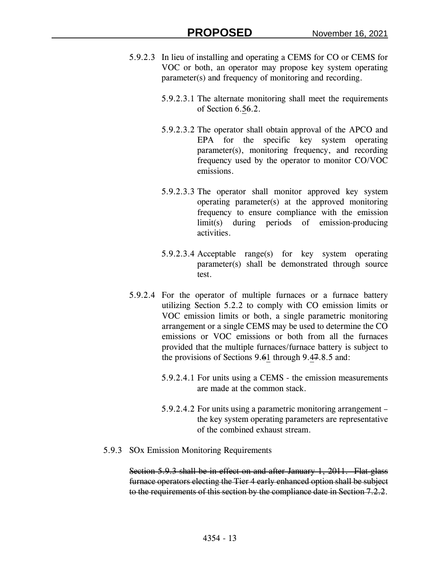- 5.9.2.3 In lieu of installing and operating a CEMS for CO or CEMS for VOC or both, an operator may propose key system operating parameter(s) and frequency of monitoring and recording.
	- 5.9.2.3.1 The alternate monitoring shall meet the requirements of Section 6.56.2.
	- 5.9.2.3.2 The operator shall obtain approval of the APCO and EPA for the specific key system operating parameter(s), monitoring frequency, and recording frequency used by the operator to monitor CO/VOC emissions.
	- 5.9.2.3.3 The operator shall monitor approved key system operating parameter(s) at the approved monitoring frequency to ensure compliance with the emission limit(s) during periods of emission-producing activities.
	- 5.9.2.3.4 Acceptable range(s) for key system operating parameter(s) shall be demonstrated through source test.
- 5.9.2.4 For the operator of multiple furnaces or a furnace battery utilizing Section 5.2.2 to comply with CO emission limits or VOC emission limits or both, a single parametric monitoring arrangement or a single CEMS may be used to determine the CO emissions or VOC emissions or both from all the furnaces provided that the multiple furnaces/furnace battery is subject to the provisions of Sections 9.61 through 9.47.8.5 and:
	- 5.9.2.4.1 For units using a CEMS the emission measurements are made at the common stack.
	- 5.9.2.4.2 For units using a parametric monitoring arrangement the key system operating parameters are representative of the combined exhaust stream.
- 5.9.3 SOx Emission Monitoring Requirements

Section 5.9.3 shall be in effect on and after January 1, 2011. Flat glass furnace operators electing the Tier 4 early enhanced option shall be subject to the requirements of this section by the compliance date in Section 7.2.2.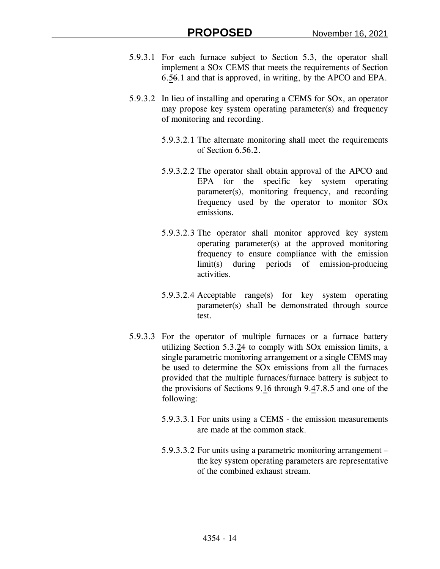- 5.9.3.1 For each furnace subject to Section 5.3, the operator shall implement a SOx CEMS that meets the requirements of Section 6.56.1 and that is approved, in writing, by the APCO and EPA.
- 5.9.3.2 In lieu of installing and operating a CEMS for SOx, an operator may propose key system operating parameter(s) and frequency of monitoring and recording.
	- 5.9.3.2.1 The alternate monitoring shall meet the requirements of Section 6.56.2.
	- 5.9.3.2.2 The operator shall obtain approval of the APCO and EPA for the specific key system operating parameter(s), monitoring frequency, and recording frequency used by the operator to monitor SOx emissions.
	- 5.9.3.2.3 The operator shall monitor approved key system operating parameter(s) at the approved monitoring frequency to ensure compliance with the emission limit(s) during periods of emission-producing activities.
	- 5.9.3.2.4 Acceptable range(s) for key system operating parameter(s) shall be demonstrated through source test.
- 5.9.3.3 For the operator of multiple furnaces or a furnace battery utilizing Section 5.3.24 to comply with SOx emission limits, a single parametric monitoring arrangement or a single CEMS may be used to determine the SOx emissions from all the furnaces provided that the multiple furnaces/furnace battery is subject to the provisions of Sections 9.16 through 9.47.8.5 and one of the following:
	- 5.9.3.3.1 For units using a CEMS the emission measurements are made at the common stack.
	- 5.9.3.3.2 For units using a parametric monitoring arrangement the key system operating parameters are representative of the combined exhaust stream.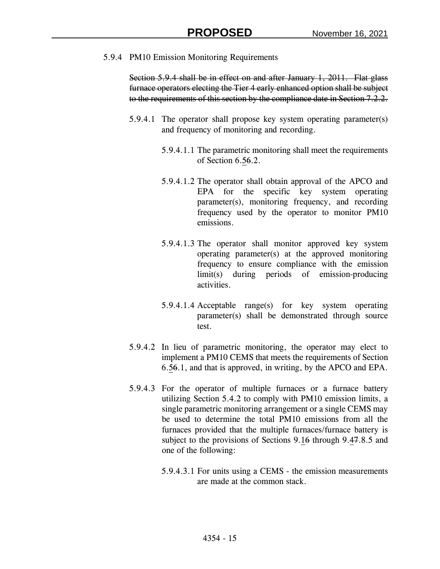5.9.4 PM10 Emission Monitoring Requirements

Section 5.9.4 shall be in effect on and after January 1, 2011. Flat glass furnace operators electing the Tier 4 early enhanced option shall be subject to the requirements of this section by the compliance date in Section 7.2.2.

- 5.9.4.1 The operator shall propose key system operating parameter(s) and frequency of monitoring and recording.
	- 5.9.4.1.1 The parametric monitoring shall meet the requirements of Section 6.56.2.
	- 5.9.4.1.2 The operator shall obtain approval of the APCO and EPA for the specific key system operating parameter(s), monitoring frequency, and recording frequency used by the operator to monitor PM10 emissions.
	- 5.9.4.1.3 The operator shall monitor approved key system operating parameter(s) at the approved monitoring frequency to ensure compliance with the emission limit(s) during periods of emission-producing activities.
	- 5.9.4.1.4 Acceptable range(s) for key system operating parameter(s) shall be demonstrated through source test.
- 5.9.4.2 In lieu of parametric monitoring, the operator may elect to implement a PM10 CEMS that meets the requirements of Section 6.56.1, and that is approved, in writing, by the APCO and EPA.
- 5.9.4.3 For the operator of multiple furnaces or a furnace battery utilizing Section 5.4.2 to comply with PM10 emission limits, a single parametric monitoring arrangement or a single CEMS may be used to determine the total PM10 emissions from all the furnaces provided that the multiple furnaces/furnace battery is subject to the provisions of Sections 9.16 through 9.47.8.5 and one of the following:
	- 5.9.4.3.1 For units using a CEMS the emission measurements are made at the common stack.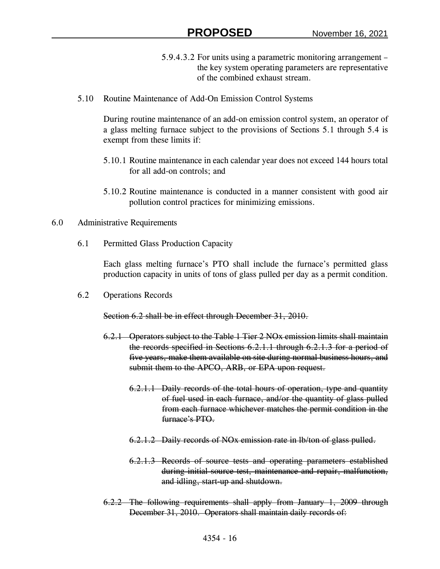- 5.9.4.3.2 For units using a parametric monitoring arrangement the key system operating parameters are representative of the combined exhaust stream.
- 5.10 Routine Maintenance of Add-On Emission Control Systems

During routine maintenance of an add-on emission control system, an operator of a glass melting furnace subject to the provisions of Sections 5.1 through 5.4 is exempt from these limits if:

- 5.10.1 Routine maintenance in each calendar year does not exceed 144 hours total for all add-on controls; and
- 5.10.2 Routine maintenance is conducted in a manner consistent with good air pollution control practices for minimizing emissions.

#### 6.0 Administrative Requirements

6.1 Permitted Glass Production Capacity

Each glass melting furnace's PTO shall include the furnace's permitted glass production capacity in units of tons of glass pulled per day as a permit condition.

6.2 Operations Records

Section 6.2 shall be in effect through December 31, 2010.

- 6.2.1 Operators subject to the Table 1 Tier 2 NOx emission limits shall maintain the records specified in Sections 6.2.1.1 through 6.2.1.3 for a period of five years, make them available on site during normal business hours, and submit them to the APCO, ARB, or EPA upon request.
	- 6.2.1.1 Daily records of the total hours of operation, type and quantity of fuel used in each furnace, and/or the quantity of glass pulled from each furnace whichever matches the permit condition in the furnace's PTO.
	- 6.2.1.2 Daily records of NOx emission rate in lb/ton of glass pulled.
	- 6.2.1.3 Records of source tests and operating parameters established during initial source test, maintenance and repair, malfunction, and idling, start-up and shutdown.
- 6.2.2 The following requirements shall apply from January 1, 2009 through December 31, 2010. Operators shall maintain daily records of: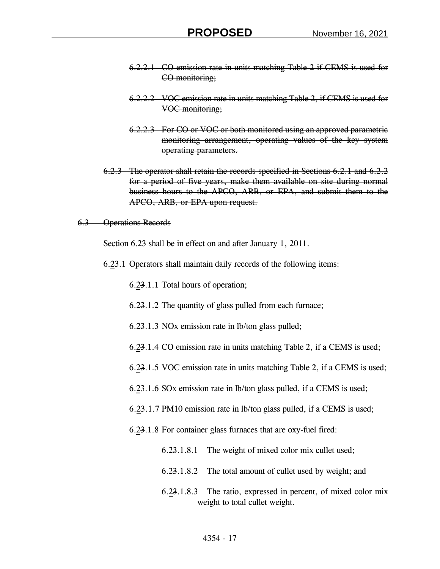- 6.2.2.1 CO emission rate in units matching Table 2 if CEMS is used for CO monitoring;
- 6.2.2.2 VOC emission rate in units matching Table 2, if CEMS is used for VOC monitoring;
- 6.2.2.3 For CO or VOC or both monitored using an approved parametric monitoring arrangement, operating values of the key system operating parameters.
- 6.2.3 The operator shall retain the records specified in Sections 6.2.1 and 6.2.2 for a period of five years, make them available on site during normal business hours to the APCO, ARB, or EPA, and submit them to the APCO, ARB, or EPA upon request.

6.3 Operations Records

Section 6.23 shall be in effect on and after January 1, 2011.

6.23.1 Operators shall maintain daily records of the following items:

6.23.1.1 Total hours of operation;

- 6.23.1.2 The quantity of glass pulled from each furnace;
- 6.23.1.3 NOx emission rate in lb/ton glass pulled;
- 6.23.1.4 CO emission rate in units matching Table 2, if a CEMS is used;
- 6.23.1.5 VOC emission rate in units matching Table 2, if a CEMS is used;
- 6.23.1.6 SOx emission rate in lb/ton glass pulled, if a CEMS is used;
- 6.23.1.7 PM10 emission rate in lb/ton glass pulled, if a CEMS is used;
- 6.23.1.8 For container glass furnaces that are oxy-fuel fired:
	- 6.23.1.8.1 The weight of mixed color mix cullet used;
	- 6.23.1.8.2 The total amount of cullet used by weight; and
	- 6.23.1.8.3 The ratio, expressed in percent, of mixed color mix weight to total cullet weight.

## 4354 - 17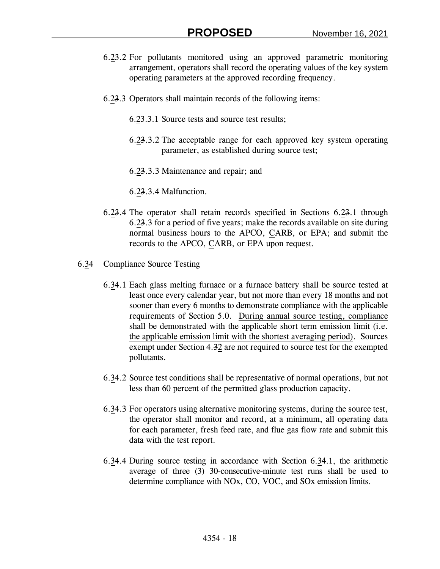- 6.23.2 For pollutants monitored using an approved parametric monitoring arrangement, operators shall record the operating values of the key system operating parameters at the approved recording frequency.
- 6.23.3 Operators shall maintain records of the following items:
	- 6.23.3.1 Source tests and source test results;
	- 6.23.3.2 The acceptable range for each approved key system operating parameter, as established during source test;
	- 6.23.3.3 Maintenance and repair; and
	- 6.23.3.4 Malfunction.
- 6.23.4 The operator shall retain records specified in Sections 6.23.1 through 6.23.3 for a period of five years; make the records available on site during normal business hours to the APCO, CARB, or EPA; and submit the records to the APCO, CARB, or EPA upon request.
- 6.34 Compliance Source Testing
	- 6.34.1 Each glass melting furnace or a furnace battery shall be source tested at least once every calendar year, but not more than every 18 months and not sooner than every 6 months to demonstrate compliance with the applicable requirements of Section 5.0. During annual source testing, compliance shall be demonstrated with the applicable short term emission limit (i.e. the applicable emission limit with the shortest averaging period). Sources exempt under Section 4.32 are not required to source test for the exempted pollutants.
	- 6.34.2 Source test conditions shall be representative of normal operations, but not less than 60 percent of the permitted glass production capacity.
	- 6.34.3 For operators using alternative monitoring systems, during the source test, the operator shall monitor and record, at a minimum, all operating data for each parameter, fresh feed rate, and flue gas flow rate and submit this data with the test report.
	- 6.34.4 During source testing in accordance with Section 6.34.1, the arithmetic average of three (3) 30-consecutive-minute test runs shall be used to determine compliance with NOx, CO, VOC, and SOx emission limits.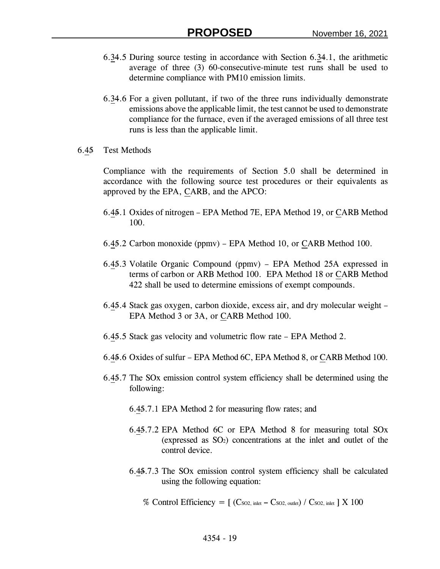- 6.34.5 During source testing in accordance with Section 6.34.1, the arithmetic average of three (3) 60-consecutive-minute test runs shall be used to determine compliance with PM10 emission limits.
- 6.34.6 For a given pollutant, if two of the three runs individually demonstrate emissions above the applicable limit, the test cannot be used to demonstrate compliance for the furnace, even if the averaged emissions of all three test runs is less than the applicable limit.
- 6.45 Test Methods

Compliance with the requirements of Section 5.0 shall be determined in accordance with the following source test procedures or their equivalents as approved by the EPA, CARB, and the APCO:

- 6.45.1 Oxides of nitrogen EPA Method 7E, EPA Method 19, or CARB Method 100.
- 6.45.2 Carbon monoxide (ppmv) EPA Method 10, or CARB Method 100.
- 6.45.3 Volatile Organic Compound (ppmv) EPA Method 25A expressed in terms of carbon or ARB Method 100. EPA Method 18 or CARB Method 422 shall be used to determine emissions of exempt compounds.
- 6.45.4 Stack gas oxygen, carbon dioxide, excess air, and dry molecular weight EPA Method 3 or 3A, or CARB Method 100.
- 6.45.5 Stack gas velocity and volumetric flow rate EPA Method 2.
- 6.45.6 Oxides of sulfur EPA Method 6C, EPA Method 8, or CARB Method 100.
- 6.45.7 The SOx emission control system efficiency shall be determined using the following:
	- 6.45.7.1 EPA Method 2 for measuring flow rates; and
	- 6.45.7.2 EPA Method 6C or EPA Method 8 for measuring total SOx (expressed as  $SO<sub>2</sub>$ ) concentrations at the inlet and outlet of the control device.
	- 6.45.7.3 The SOx emission control system efficiency shall be calculated using the following equation:
		- % Control Efficiency  $= [ (C_{SO2, \text{ inlet}} C_{SO2, \text{ outlet}}) / C_{SO2, \text{ inlet}} ] X 100$

## 4354 - 19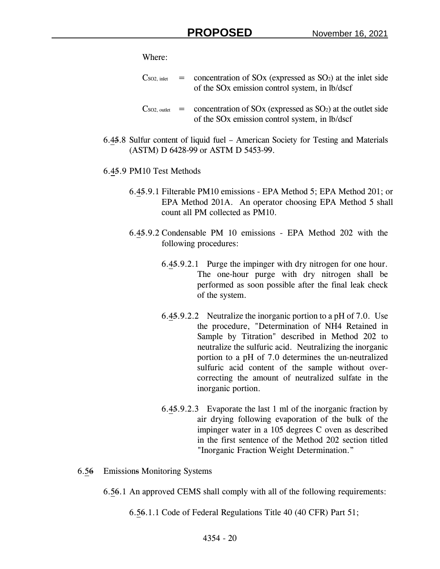Where:

- $\cos \theta$ , inlet = concentration of SOx (expressed as SO<sub>2</sub>) at the inlet side of the SOx emission control system, in lb/dscf
- $\cos \theta$ , outlet  $=$  concentration of SOx (expressed as SO<sub>2</sub>) at the outlet side of the SOx emission control system, in lb/dscf
- 6.45.8 Sulfur content of liquid fuel American Society for Testing and Materials (ASTM) D 6428-99 or ASTM D 5453-99.
- 6.45.9 PM10 Test Methods
	- 6.45.9.1 Filterable PM10 emissions EPA Method 5; EPA Method 201; or EPA Method 201A. An operator choosing EPA Method 5 shall count all PM collected as PM10.
	- 6.45.9.2 Condensable PM 10 emissions EPA Method 202 with the following procedures:
		- 6.45.9.2.1 Purge the impinger with dry nitrogen for one hour. The one-hour purge with dry nitrogen shall be performed as soon possible after the final leak check of the system.
		- 6.45.9.2.2 Neutralize the inorganic portion to a pH of 7.0. Use the procedure, "Determination of NH4 Retained in Sample by Titration" described in Method 202 to neutralize the sulfuric acid. Neutralizing the inorganic portion to a pH of 7.0 determines the un-neutralized sulfuric acid content of the sample without overcorrecting the amount of neutralized sulfate in the inorganic portion.
		- 6.45.9.2.3 Evaporate the last 1 ml of the inorganic fraction by air drying following evaporation of the bulk of the impinger water in a 105 degrees C oven as described in the first sentence of the Method 202 section titled "Inorganic Fraction Weight Determination."
- 6.56 Emissions Monitoring Systems
	- 6.56.1 An approved CEMS shall comply with all of the following requirements:
		- 6.56.1.1 Code of Federal Regulations Title 40 (40 CFR) Part 51;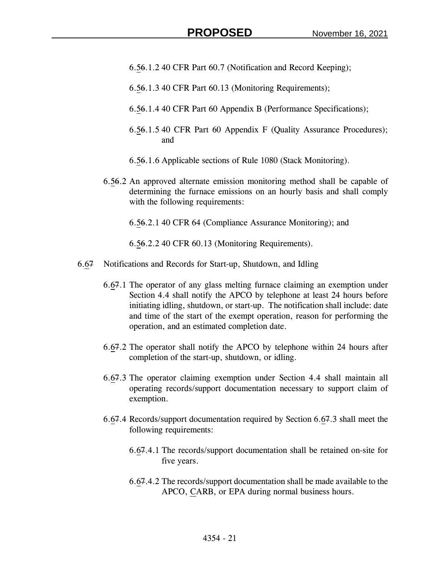- 6.56.1.2 40 CFR Part 60.7 (Notification and Record Keeping);
- 6.56.1.3 40 CFR Part 60.13 (Monitoring Requirements);
- 6.56.1.4 40 CFR Part 60 Appendix B (Performance Specifications);
- 6.56.1.5 40 CFR Part 60 Appendix F (Quality Assurance Procedures); and
- 6.56.1.6 Applicable sections of Rule 1080 (Stack Monitoring).
- 6.56.2 An approved alternate emission monitoring method shall be capable of determining the furnace emissions on an hourly basis and shall comply with the following requirements:
	- 6.56.2.1 40 CFR 64 (Compliance Assurance Monitoring); and

6.56.2.2 40 CFR 60.13 (Monitoring Requirements).

- 6.67 Notifications and Records for Start-up, Shutdown, and Idling
	- 6.67.1 The operator of any glass melting furnace claiming an exemption under Section 4.4 shall notify the APCO by telephone at least 24 hours before initiating idling, shutdown, or start-up. The notification shall include: date and time of the start of the exempt operation, reason for performing the operation, and an estimated completion date.
	- 6.67.2 The operator shall notify the APCO by telephone within 24 hours after completion of the start-up, shutdown, or idling.
	- 6.67.3 The operator claiming exemption under Section 4.4 shall maintain all operating records/support documentation necessary to support claim of exemption.
	- 6.67.4 Records/support documentation required by Section 6.67.3 shall meet the following requirements:
		- 6.67.4.1 The records/support documentation shall be retained on-site for five years.
		- 6.67.4.2 The records/support documentation shall be made available to the APCO, CARB, or EPA during normal business hours.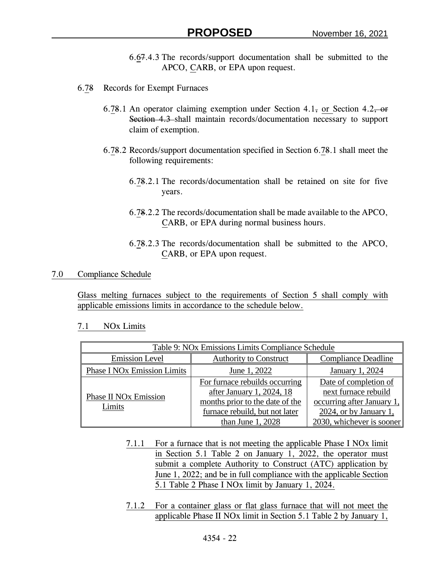- 6.67.4.3 The records/support documentation shall be submitted to the APCO, CARB, or EPA upon request.
- 6.78 Records for Exempt Furnaces
	- 6.78.1 An operator claiming exemption under Section 4.1, or Section 4.2, or Section 4.3 shall maintain records/documentation necessary to support claim of exemption.
	- 6.78.2 Records/support documentation specified in Section 6.78.1 shall meet the following requirements:
		- 6.78.2.1 The records/documentation shall be retained on site for five years.
		- 6.78.2.2 The records/documentation shall be made available to the APCO, CARB, or EPA during normal business hours.
		- 6.78.2.3 The records/documentation shall be submitted to the APCO, CARB, or EPA upon request.

## 7.0 Compliance Schedule

Glass melting furnaces subject to the requirements of Section 5 shall comply with applicable emissions limits in accordance to the schedule below.

## 7.1 NOx Limits

| Table 9: NOx Emissions Limits Compliance Schedule      |                                                                                                                                                        |                                                                                                                                    |  |
|--------------------------------------------------------|--------------------------------------------------------------------------------------------------------------------------------------------------------|------------------------------------------------------------------------------------------------------------------------------------|--|
| <b>Emission Level</b><br><b>Authority to Construct</b> |                                                                                                                                                        | <b>Compliance Deadline</b>                                                                                                         |  |
| <b>Phase I NOx Emission Limits</b>                     | June 1, 2022                                                                                                                                           | January 1, 2024                                                                                                                    |  |
| <b>Phase II NOx Emission</b><br>Limits                 | For furnace rebuilds occurring<br>after January 1, 2024, 18<br>months prior to the date of the<br>furnace rebuild, but not later<br>than June $1,2028$ | Date of completion of<br>next furnace rebuild<br>occurring after January 1,<br>2024, or by January 1,<br>2030, whichever is sooner |  |

- 7.1.1 For a furnace that is not meeting the applicable Phase I NOx limit in Section 5.1 Table 2 on January 1, 2022, the operator must submit a complete Authority to Construct (ATC) application by June 1, 2022; and be in full compliance with the applicable Section 5.1 Table 2 Phase I NOx limit by January 1, 2024.
- 7.1.2 For a container glass or flat glass furnace that will not meet the applicable Phase II NOx limit in Section 5.1 Table 2 by January 1,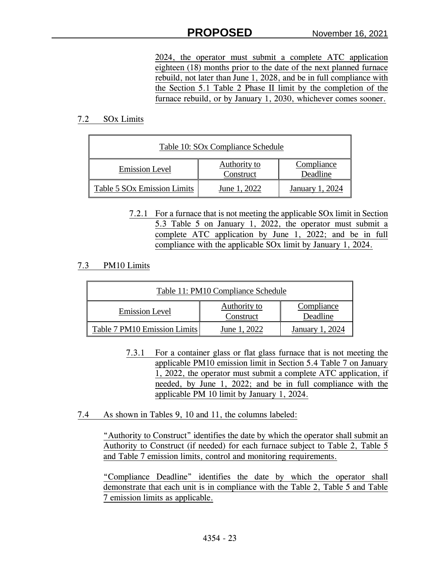2024, the operator must submit a complete ATC application eighteen (18) months prior to the date of the next planned furnace rebuild, not later than June 1, 2028, and be in full compliance with the Section 5.1 Table 2 Phase II limit by the completion of the furnace rebuild, or by January 1, 2030, whichever comes sooner.

## 7.2 SOx Limits

| Table 10: SOx Compliance Schedule  |                           |                        |  |
|------------------------------------|---------------------------|------------------------|--|
| <b>Emission Level</b>              | Authority to<br>Construct | Compliance<br>Deadline |  |
| <b>Table 5 SOx Emission Limits</b> | June 1, 2022              | January 1, 2024        |  |

7.2.1 For a furnace that is not meeting the applicable SOx limit in Section 5.3 Table 5 on January 1, 2022, the operator must submit a complete ATC application by June 1, 2022; and be in full compliance with the applicable SOx limit by January 1, 2024.

# 7.3 PM10 Limits

| Table 11: PM10 Compliance Schedule |                           |                        |  |
|------------------------------------|---------------------------|------------------------|--|
| <b>Emission Level</b>              | Authority to<br>Construct | Compliance<br>Deadline |  |
| Table 7 PM10 Emission Limits       | June 1, 2022              | January 1, 2024        |  |

- 7.3.1 For a container glass or flat glass furnace that is not meeting the applicable PM10 emission limit in Section 5.4 Table 7 on January 1, 2022, the operator must submit a complete ATC application, if needed, by June 1, 2022; and be in full compliance with the applicable PM 10 limit by January 1, 2024.
- 7.4 As shown in Tables 9, 10 and 11, the columns labeled:

"Authority to Construct" identifies the date by which the operator shall submit an Authority to Construct (if needed) for each furnace subject to Table 2, Table 5 and Table 7 emission limits, control and monitoring requirements.

"Compliance Deadline" identifies the date by which the operator shall demonstrate that each unit is in compliance with the Table 2, Table 5 and Table 7 emission limits as applicable.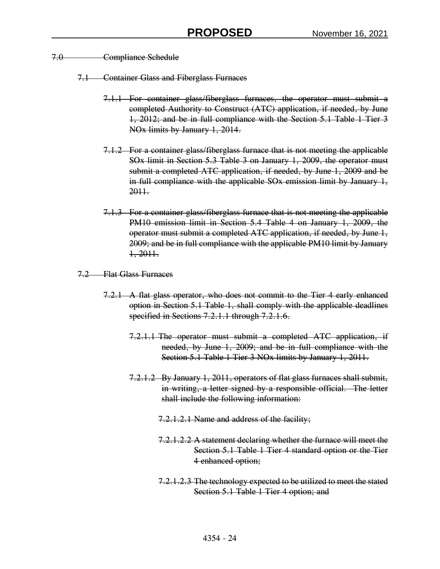- 7.0 Compliance Schedule
	- 7.1 Container Glass and Fiberglass Furnaces
		- 7.1.1 For container glass/fiberglass furnaces, the operator must submit a completed Authority to Construct (ATC) application, if needed, by June 1, 2012; and be in full compliance with the Section 5.1 Table 1 Tier 3 NOx limits by January 1, 2014.
		- 7.1.2 For a container glass/fiberglass furnace that is not meeting the applicable SOx limit in Section 5.3 Table 3 on January 1, 2009, the operator must submit a completed ATC application, if needed, by June 1, 2009 and be in full compliance with the applicable SO<sub>x</sub> emission limit by January 1, 2011.
		- 7.1.3 For a container glass/fiberglass furnace that is not meeting the applicable PM10 emission limit in Section 5.4 Table 4 on January 1, 2009, the operator must submit a completed ATC application, if needed, by June 1, 2009; and be in full compliance with the applicable PM10 limit by January 1, 2011.
	- 7.2 Flat Glass Furnaces
		- 7.2.1 A flat glass operator, who does not commit to the Tier 4 early enhanced option in Section 5.1 Table 1, shall comply with the applicable deadlines specified in Sections 7.2.1.1 through 7.2.1.6.
			- 7.2.1.1 The operator must submit a completed ATC application, if needed, by June 1, 2009; and be in full compliance with the Section 5.1 Table 1 Tier 3 NO<sub>x</sub> limits by January 1, 2011.
			- 7.2.1.2 By January 1, 2011, operators of flat glass furnaces shall submit, in writing, a letter signed by a responsible official. The letter shall include the following information:
				- 7.2.1.2.1 Name and address of the facility;
				- 7.2.1.2.2 A statement declaring whether the furnace will meet the Section 5.1 Table 1 Tier 4 standard option or the Tier 4 enhanced option;
				- 7.2.1.2.3 The technology expected to be utilized to meet the stated Section 5.1 Table 1 Tier 4 option; and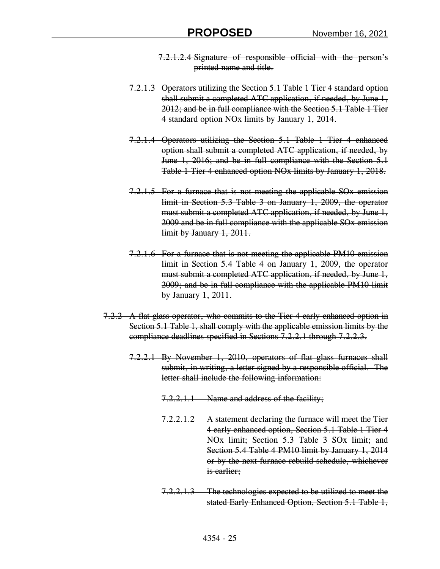- 7.2.1.2.4 Signature of responsible official with the person's printed name and title.
- 7.2.1.3 Operators utilizing the Section 5.1 Table 1 Tier 4 standard option shall submit a completed ATC application, if needed, by June 1, 2012; and be in full compliance with the Section 5.1 Table 1 Tier 4 standard option NOx limits by January 1, 2014.
- 7.2.1.4 Operators utilizing the Section 5.1 Table 1 Tier 4 enhanced option shall submit a completed ATC application, if needed, by June 1, 2016; and be in full compliance with the Section 5.1 Table 1 Tier 4 enhanced option NOx limits by January 1, 2018.
- 7.2.1.5 For a furnace that is not meeting the applicable SOx emission limit in Section 5.3 Table 3 on January 1, 2009, the operator must submit a completed ATC application, if needed, by June 1, 2009 and be in full compliance with the applicable SOx emission limit by January 1, 2011.
- 7.2.1.6 For a furnace that is not meeting the applicable PM10 emission limit in Section 5.4 Table 4 on January 1, 2009, the operator must submit a completed ATC application, if needed, by June 1, 2009; and be in full compliance with the applicable PM10 limit by January 1, 2011.
- 7.2.2 A flat glass operator, who commits to the Tier 4 early enhanced option in Section 5.1 Table 1, shall comply with the applicable emission limits by the compliance deadlines specified in Sections 7.2.2.1 through 7.2.2.3.
	- 7.2.2.1 By November 1, 2010, operators of flat glass furnaces shall submit, in writing, a letter signed by a responsible official. The letter shall include the following information:
		- 7.2.2.1.1 Name and address of the facility;
		- 7.2.2.1.2 A statement declaring the furnace will meet the Tier 4 early enhanced option, Section 5.1 Table 1 Tier 4 NOx limit; Section 5.3 Table 3 SOx limit; and Section 5.4 Table 4 PM10 limit by January 1, 2014 or by the next furnace rebuild schedule, whichever is earlier;
		- 7.2.2.1.3 The technologies expected to be utilized to meet the stated Early Enhanced Option, Section 5.1 Table 1,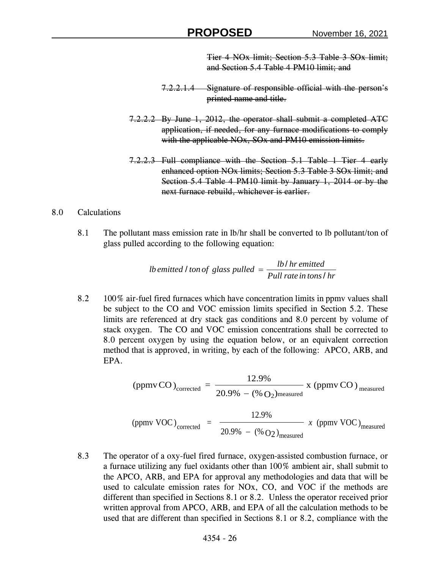Tier 4 NOx limit; Section 5.3 Table 3 SOx limit; and Section 5.4 Table 4 PM10 limit; and

- 7.2.2.1.4 Signature of responsible official with the person's printed name and title.
- 7.2.2.2 By June 1, 2012, the operator shall submit a completed ATC application, if needed, for any furnace modifications to comply with the applicable NO<sub>x</sub>, SO<sub>x</sub> and PM10 emission limits.
- 7.2.2.3 Full compliance with the Section 5.1 Table 1 Tier 4 early enhanced option NOx limits; Section 5.3 Table 3 SOx limit; and Section 5.4 Table 4 PM10 limit by January 1, 2014 or by the next furnace rebuild, whichever is earlier.

# 8.0 Calculations

8.1 The pollutant mass emission rate in lb/hr shall be converted to lb pollutant/ton of glass pulled according to the following equation:

*Pull rate in tons hr lb hr emitted lb emitted ton of glass pulled* / / / <sup>=</sup>

8.2 100% air-fuel fired furnaces which have concentration limits in ppmv values shall be subject to the CO and VOC emission limits specified in Section 5.2. These limits are referenced at dry stack gas conditions and 8.0 percent by volume of stack oxygen. The CO and VOC emission concentrations shall be corrected to 8.0 percent oxygen by using the equation below, or an equivalent correction method that is approved, in writing, by each of the following: APCO, ARB, and EPA.

> x (ppmv CO )  $20.9\% - (\% O_2)$ 12.9% (ppmvCO)<sub>corrected</sub> =  $\frac{125}{20.00}$  x (ppmvCO)<sub>measured</sub> corrected  $\overline{\phantom{a}}$  20.9%  $-$  (% O<sub>2</sub>) measured

$$
\text{(ppmv VOC)}_{\text{corrected}} = \frac{12.9\%}{20.9\% - (\% \text{O2})_{\text{measured}}} \, x \, \text{(ppmv VOC)}_{\text{measured}}
$$

8.3 The operator of a oxy-fuel fired furnace, oxygen-assisted combustion furnace, or a furnace utilizing any fuel oxidants other than 100% ambient air, shall submit to the APCO, ARB, and EPA for approval any methodologies and data that will be used to calculate emission rates for NOx, CO, and VOC if the methods are different than specified in Sections 8.1 or 8.2. Unless the operator received prior written approval from APCO, ARB, and EPA of all the calculation methods to be used that are different than specified in Sections 8.1 or 8.2, compliance with the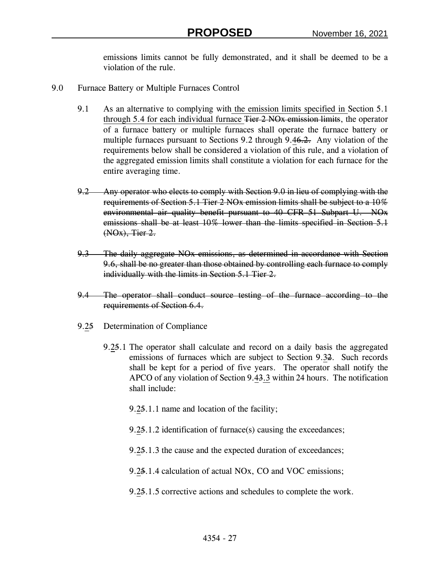emissions limits cannot be fully demonstrated, and it shall be deemed to be a violation of the rule.

- 9.0 Furnace Battery or Multiple Furnaces Control
	- 9.1 As an alternative to complying with the emission limits specified in Section 5.1 through 5.4 for each individual furnace Tier 2 NO<sub>x</sub> emission limits, the operator of a furnace battery or multiple furnaces shall operate the furnace battery or multiple furnaces pursuant to Sections 9.2 through 9.46.2. Any violation of the requirements below shall be considered a violation of this rule, and a violation of the aggregated emission limits shall constitute a violation for each furnace for the entire averaging time.
	- 9.2 Any operator who elects to comply with Section 9.0 in lieu of complying with the requirements of Section 5.1 Tier 2 NOx emission limits shall be subject to a 10% environmental air quality benefit pursuant to 40 CFR 51 Subpart U. NOx emissions shall be at least 10% lower than the limits specified in Section 5.1 (NOx), Tier 2.
	- 9.3 The daily aggregate NOx emissions, as determined in accordance with Section 9.6, shall be no greater than those obtained by controlling each furnace to comply individually with the limits in Section 5.1 Tier 2.
	- 9.4 The operator shall conduct source testing of the furnace according to the requirements of Section 6.4.
	- 9.25 Determination of Compliance
		- 9.25.1 The operator shall calculate and record on a daily basis the aggregated emissions of furnaces which are subject to Section 9.32. Such records shall be kept for a period of five years. The operator shall notify the APCO of any violation of Section 9.43.3 within 24 hours. The notification shall include:
			- 9.25.1.1 name and location of the facility;
			- 9.25.1.2 identification of furnace(s) causing the exceedances;
			- 9.25.1.3 the cause and the expected duration of exceedances;
			- 9.25.1.4 calculation of actual NOx, CO and VOC emissions;
			- 9.25.1.5 corrective actions and schedules to complete the work.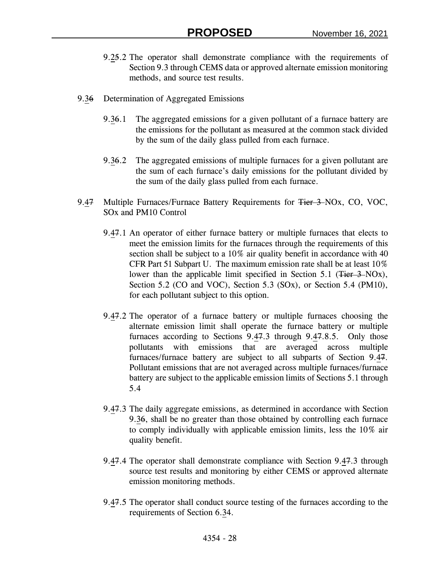- 9.25.2 The operator shall demonstrate compliance with the requirements of Section 9.3 through CEMS data or approved alternate emission monitoring methods, and source test results.
- 9.36 Determination of Aggregated Emissions
	- 9.36.1 The aggregated emissions for a given pollutant of a furnace battery are the emissions for the pollutant as measured at the common stack divided by the sum of the daily glass pulled from each furnace.
	- 9.36.2 The aggregated emissions of multiple furnaces for a given pollutant are the sum of each furnace's daily emissions for the pollutant divided by the sum of the daily glass pulled from each furnace.
- 9.47 Multiple Furnaces/Furnace Battery Requirements for Tier 3-NOx, CO, VOC, SOx and PM10 Control
	- 9.47.1 An operator of either furnace battery or multiple furnaces that elects to meet the emission limits for the furnaces through the requirements of this section shall be subject to a 10% air quality benefit in accordance with 40 CFR Part 51 Subpart U. The maximum emission rate shall be at least 10% lower than the applicable limit specified in Section 5.1 (Tier 3–NOx), Section 5.2 (CO and VOC), Section 5.3 (SOx), or Section 5.4 (PM10), for each pollutant subject to this option.
	- 9.47.2 The operator of a furnace battery or multiple furnaces choosing the alternate emission limit shall operate the furnace battery or multiple furnaces according to Sections 9.47.3 through 9.47.8.5. Only those pollutants with emissions that are averaged across multiple furnaces/furnace battery are subject to all subparts of Section 9.47. Pollutant emissions that are not averaged across multiple furnaces/furnace battery are subject to the applicable emission limits of Sections 5.1 through 5.4
	- 9.47.3 The daily aggregate emissions, as determined in accordance with Section 9.36, shall be no greater than those obtained by controlling each furnace to comply individually with applicable emission limits, less the 10% air quality benefit.
	- 9.47.4 The operator shall demonstrate compliance with Section 9.47.3 through source test results and monitoring by either CEMS or approved alternate emission monitoring methods.
	- 9.47.5 The operator shall conduct source testing of the furnaces according to the requirements of Section 6.34.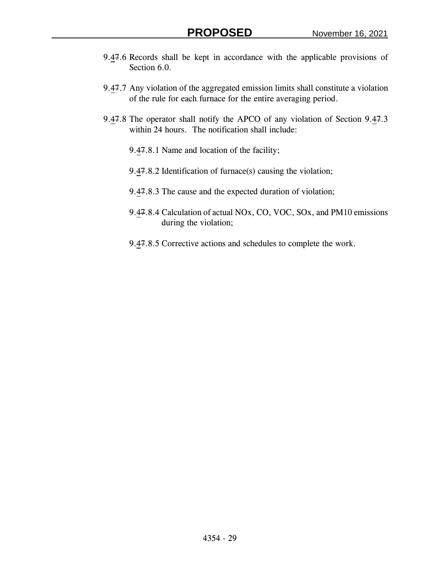- 9.47.6 Records shall be kept in accordance with the applicable provisions of Section 6.0.
- 9.47.7 Any violation of the aggregated emission limits shall constitute a violation of the rule for each furnace for the entire averaging period.
- 9.47.8 The operator shall notify the APCO of any violation of Section 9.47.3 within 24 hours. The notification shall include:
	- 9.47.8.1 Name and location of the facility;
	- 9.47.8.2 Identification of furnace(s) causing the violation;
	- 9.47.8.3 The cause and the expected duration of violation;
	- 9.47.8.4 Calculation of actual NOx, CO, VOC, SOx, and PM10 emissions during the violation;
	- 9.47.8.5 Corrective actions and schedules to complete the work.